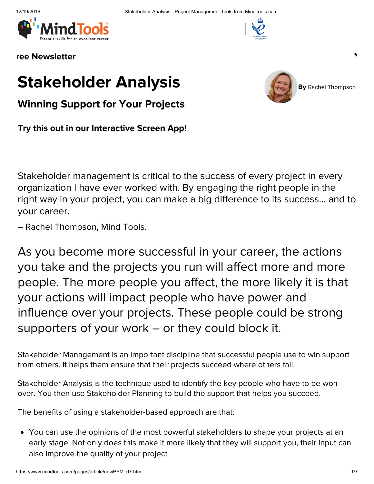



ree Newsletter

# Stakeholder Analysis **By Rachel Thompson**

### Winning Support for Your Projects

Try this out in our [Interactive Screen App!](#page-5-0)



Stakeholder management is critical to the success of every project in every organization I have ever worked with. By engaging the right people in the right way in your project, you can make a big difference to its success... and to your career.

– Rachel Thompson, Mind Tools.

As you become more successful in your career, the actions you take and the projects you run will affect more and more people. The more people you affect, the more likely it is that your actions will impact people who have power and influence over your projects. These people could be strong supporters of your work – or they could block it.

Stakeholder Management is an important discipline that successful people use to win support from others. It helps them ensure that their projects succeed where others fail.

Stakeholder Analysis is the technique used to identify the key people who have to be won over. You then use Stakeholder Planning to build the support that helps you succeed.

The benefits of using a stakeholder-based approach are that:

• You can use the opinions of the most powerful stakeholders to shape your projects at an early stage. Not only does this make it more likely that they will support you, their input can also improve the quality of your project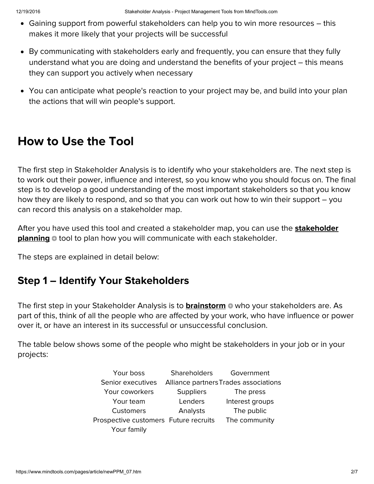- Gaining support from powerful stakeholders can help you to win more resources this makes it more likely that your projects will be successful
- By communicating with stakeholders early and frequently, you can ensure that they fully understand what you are doing and understand the benefits of your project – this means they can support you actively when necessary
- You can anticipate what people's reaction to your project may be, and build into your plan the actions that will win people's support.

## How to Use the Tool

The first step in Stakeholder Analysis is to identify who your stakeholders are. The next step is to work out their power, influence and interest, so you know who you should focus on. The final step is to develop a good understanding of the most important stakeholders so that you know how they are likely to respond, and so that you can work out how to win their support – you can record this analysis on a stakeholder map.

Alter you have used this tool and created a stakeholder map, you can use<br><mark>planning</mark> © tool to plan how you will communicate with each stakeholder. [After you have used this tool and created a stakeholder map, you can use the](https://www.mindtools.com/pages/article/newPPM_08.htm) **stakeholder** 

The steps are explained in detail below:

#### Step 1 – Identify Your Stakeholders

The first step in your Stakeholder Analysis is to <mark>brainstorm</mark> @ who your stakeholders are. As part of this, think of all the people who are affected by your work, who have influence or power over it, or have an interest in its successful or unsuccessful conclusion.

The table below shows some of the people who might be stakeholders in your job or in your projects:

| Your boss                             | Shareholders     | Government                            |
|---------------------------------------|------------------|---------------------------------------|
| Senior executives                     |                  | Alliance partners Trades associations |
| Your coworkers                        | <b>Suppliers</b> | The press                             |
| Your team                             | Lenders          | Interest groups                       |
| Customers                             | Analysts         | The public                            |
| Prospective customers Future recruits |                  | The community                         |
| Your family                           |                  |                                       |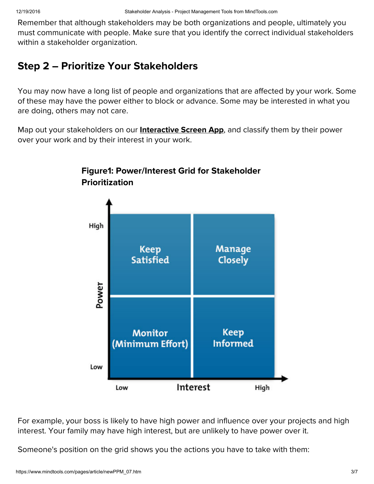Remember that although stakeholders may be both organizations and people, ultimately you must communicate with people. Make sure that you identify the correct individual stakeholders within a stakeholder organization.

#### Step 2 – Prioritize Your Stakeholders

You may now have a long list of people and organizations that are affected by your work. Some of these may have the power either to block or advance. Some may be interested in what you are doing, others may not care.

Map out your stakeholders on our *[Interactive Screen App](#page-5-0)*, and classify them by their power over your work and by their interest in your work.



#### Figure1: Power/Interest Grid for Stakeholder Prioritization

For example, your boss is likely to have high power and influence over your projects and high interest. Your family may have high interest, but are unlikely to have power over it.

Someone's position on the grid shows you the actions you have to take with them: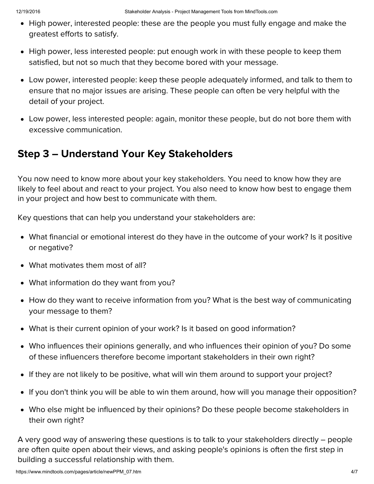- High power, interested people: these are the people you must fully engage and make the greatest efforts to satisfy.
- High power, less interested people: put enough work in with these people to keep them satisfied, but not so much that they become bored with your message.
- Low power, interested people: keep these people adequately informed, and talk to them to ensure that no major issues are arising. These people can often be very helpful with the detail of your project.
- Low power, less interested people: again, monitor these people, but do not bore them with excessive communication.

#### Step 3 – Understand Your Key Stakeholders

You now need to know more about your key stakeholders. You need to know how they are likely to feel about and react to your project. You also need to know how best to engage them in your project and how best to communicate with them.

Key questions that can help you understand your stakeholders are:

- What financial or emotional interest do they have in the outcome of your work? Is it positive or negative?
- What motivates them most of all?
- What information do they want from you?
- How do they want to receive information from you? What is the best way of communicating your message to them?
- What is their current opinion of your work? Is it based on good information?
- Who influences their opinions generally, and who influences their opinion of you? Do some of these influencers therefore become important stakeholders in their own right?
- If they are not likely to be positive, what will win them around to support your project?
- If you don't think you will be able to win them around, how will you manage their opposition?
- Who else might be influenced by their opinions? Do these people become stakeholders in their own right?

A very good way of answering these questions is to talk to your stakeholders directly – people are often quite open about their views, and asking people's opinions is often the first step in building a successful relationship with them.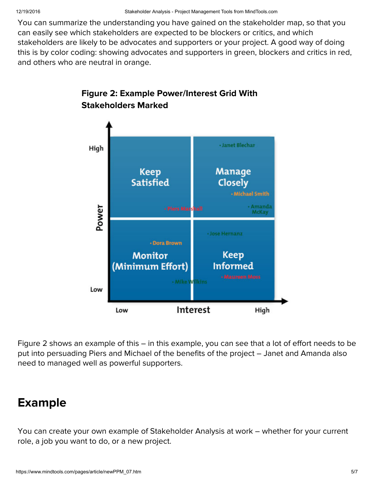You can summarize the understanding you have gained on the stakeholder map, so that you can easily see which stakeholders are expected to be blockers or critics, and which stakeholders are likely to be advocates and supporters or your project. A good way of doing this is by color coding: showing advocates and supporters in green, blockers and critics in red, and others who are neutral in orange.



Figure 2: Example Power/Interest Grid With Stakeholders Marked

Figure 2 shows an example of this – in this example, you can see that a lot of effort needs to be put into persuading Piers and Michael of the benefits of the project – Janet and Amanda also need to managed well as powerful supporters.

## Example

You can create your own example of Stakeholder Analysis at work – whether for your current role, a job you want to do, or a new project.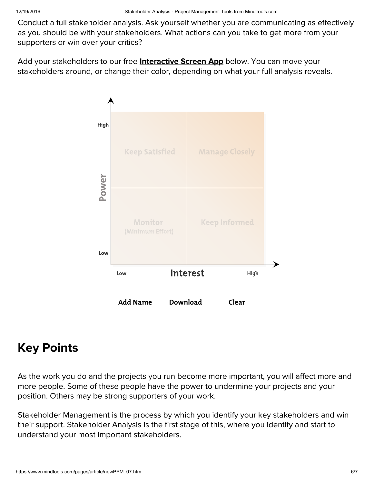Conduct a full stakeholder analysis. Ask yourself whether you are communicating as effectively as you should be with your stakeholders. What actions can you take to get more from your supporters or win over your critics?

<span id="page-5-0"></span>Add your stakeholders to our free *[Interactive Screen App](#page-5-0)* below. You can move your stakeholders around, or change their color, depending on what your full analysis reveals.



## Key Points

As the work you do and the projects you run become more important, you will affect more and more people. Some of these people have the power to undermine your projects and your position. Others may be strong supporters of your work.

Stakeholder Management is the process by which you identify your key stakeholders and win their support. Stakeholder Analysis is the first stage of this, where you identify and start to understand your most important stakeholders.